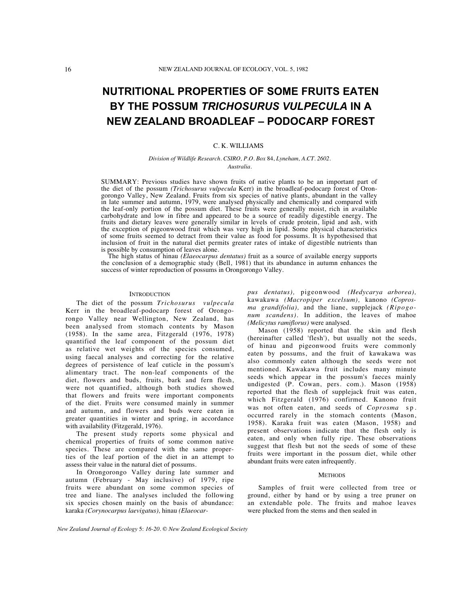# **NUTRITIONAL PROPERTIES OF SOME FRUITS EATEN BY THE POSSUM** *TRICHOSURUS VULPECULA* **IN A NEW ZEALAND BROADLEAF – PODOCARP FOREST**

# C. K. WILLIAMS

#### *Division of Wildlife Research. CSIRO, P.O. Box* 84, *Lyneham, A.CT. 2602. Australia.*

SUMMARY: Previous studies have shown fruits of native plants to be an important part of the diet of the possum *(Trichosurus vulpecula* Kerr) in the broadleaf-podocarp forest of Orongorongo Valley, New Zealand. Fruits from six species of native plants, abundant in the valley in late summer and autumn, 1979, were analysed physically and chemically and compared with the leaf-only portion of the possum diet. These fruits were generally moist, rich in available carbohydrate and low in fibre and appeared to be a source of readily digestible energy. The fruits and dietary leaves were generally similar in levels of crude protein, lipid and ash, with the exception of pigeonwood fruit which was very high in lipid. Some physical characteristics of some fruits seemed to detract from their value as food for possums. It is hypothesised that inclusion of fruit in the natural diet permits greater rates of intake of digestible nutrients than is possible by consumption of leaves alone.

The high status of hinau *(Elaeocarpus dentatus)* fruit as a source of available energy supports the conclusion of a demographic study (Bell, 1981) that its abundance in autumn enhances the success of winter reproduction of possums in Orongorongo Valley.

#### **INTRODUCTION**

The diet of the possum *Trichosurus vulpecula* Kerr in the broadleaf-podocarp forest of Orongorongo Valley near Wellington, New Zealand, has been analysed from stomach contents by Mason (1958). In the same area, Fitzgerald (1976, 1978) quantified the leaf component of the possum diet as relative wet weights of the species consumed, using faecal analyses and correcting for the relative degrees of persistence of leaf cuticle in the possum's alimentary tract. The non-leaf components of the diet, flowers and buds, fruits, bark and fern flesh, were not quantified, although both studies showed that flowers and fruits were important components of the diet. Fruits were consumed mainly in summer and autumn, and flowers and buds were eaten in greater quantities in winter and spring, in accordance with availability (Fitzgerald, 1976).

The present study reports some physical and chemical properties of fruits of some common native species. These are compared with the same properties of the leaf portion of the diet in an attempt to assess their value in the natural diet of possums.

In Orongorongo Valley during late summer and autumn (February - May inclusive) of 1979, ripe fruits were abundant on some common species of tree and liane. The analyses included the following six species chosen mainly on the basis of abundance: karaka *(Corynocarpus laevigatus),* hinau *(Elaeocar-* *pus dentatus),* pigeonwood *(Hedycarya arborea),* kawakawa *(Macropiper excelsum),* kanono *(Coprosma grandifolia),* and the liane, supplejack *(Ripogonum scandens).* In addition, the leaves of mahoe *(Melicytus ramiflorus)* were analysed.

Mason (1958) reported that the skin and flesh (hereinafter called 'flesh'), but usually not the seeds, of hinau and pigeonwood fruits were commonly eaten by possums, and the fruit of kawakawa was also commonly eaten although the seeds were not mentioned. Kawakawa fruit includes many minute seeds which appear in the possum's faeces mainly undigested (P. Cowan, pers. com.). Mason (1958) reported that the flesh of supplejack fruit was eaten, which Fitzgerald (1976) confirmed. Kanono fruit was not often eaten, and seeds of *Coprosma* sp. occurred rarely in the stomach contents (Mason, 1958). Karaka fruit was eaten (Mason, 1958) and present observations indicate that the flesh only is eaten, and only when fully ripe. These observations suggest that flesh but not the seeds of some of these fruits were important in the possum diet, while other abundant fruits were eaten infrequently.

# **METHODS**

Samples of fruit were collected from tree or ground, either by hand or by using a tree pruner on an extendable pole. The fruits and mahoe leaves were plucked from the stems and then sealed in

*New Zealand Journal of Ecology* 5: *16-20.* © *New Zealand Ecological Society*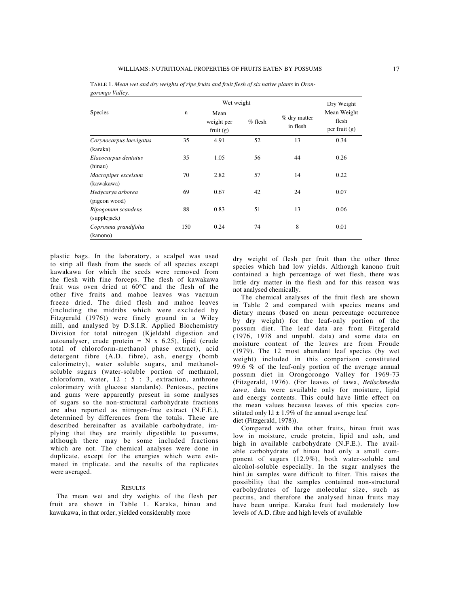|                         |             | Wet weight                        |           |                          | Dry Weight                              |
|-------------------------|-------------|-----------------------------------|-----------|--------------------------|-----------------------------------------|
| Species                 | $\mathbf n$ | Mean<br>weight per<br>fruit $(g)$ | $%$ flesh | % dry matter<br>in flesh | Mean Weight<br>flesh<br>per fruit $(g)$ |
| Corynocarpus laevigatus | 35          | 4.91                              | 52        | 13                       | 0.34                                    |
| (karaka)                |             |                                   |           |                          |                                         |
| Elaeocarpus dentatus    | 35          | 1.05                              | 56        | 44                       | 0.26                                    |
| (hinau)                 |             |                                   |           |                          |                                         |
| Macropiper excelsum     | 70          | 2.82                              | 57        | 14                       | 0.22                                    |
| (kawakawa)              |             |                                   |           |                          |                                         |
| Hedycarya arborea       | 69          | 0.67                              | 42        | 24                       | 0.07                                    |
| (pigeon wood)           |             |                                   |           |                          |                                         |
| Ripogonum scandens      | 88          | 0.83                              | 51        | 13                       | 0.06                                    |
| (supplejack)            |             |                                   |           |                          |                                         |
| Coprosma grandifolia    | 150         | 0.24                              | 74        | 8                        | 0.01                                    |
| (kanono)                |             |                                   |           |                          |                                         |

TABLE 1. Mean wet and dry weights of ripe fruits and fruit flesh of six native plants in Oron*gorongo Valley.*

plastic bags. In the laboratory, a scalpel was used to strip all flesh from the seeds of all species except kawakawa for which the seeds were removed from the flesh with fine forceps. The flesh of kawakawa fruit was oven dried at 60°C and the flesh of the other five fruits and mahoe leaves was vacuum freeze dried. The dried flesh and mahoe leaves (including the midribs which were excluded by Fitzgerald (1976)) were finely ground in a Wiley mill, and analysed by D.S.I.R. Applied Biochemistry Division for total nitrogen (Kjeldahl digestion and autoanalyser, crude protein =  $N \times 6.25$ ), lipid (crude total of chloroform-methanol phase extract), acid detergent fibre (A.D. fibre), ash, energy (bomb calorimetry), water soluble sugars, and methanolsoluble sugars (water-soluble portion of methanol, chloroform, water, 12 : 5 : 3, extraction, anthrone colorimetry with glucose standards). Pentoses, pectins and gums were apparently present in some analyses of sugars so the non-structural carbohydrate fractions are also reported as nitrogen-free extract (N.F.E.), determined by differences from the totals. These are described hereinafter as available carbohydrate, implying that they are mainly digestible to possums, although there may be some included fractions which are not. The chemical analyses were done in duplicate, except for the energies which were estimated in triplicate. and the results of the replicates were averaged.

### RESULTS

The mean wet and dry weights of the flesh per fruit are shown in Table 1. Karaka, hinau and kawakawa, in that order, yielded considerably more

dry weight of flesh per fruit than the other three species which had low yields. Although kanono fruit contained a high percentage of wet flesh, there was little dry matter in the flesh and for this reason was not analysed chemically.

The chemical analyses of the fruit flesh are shown in Table 2 and compared with species means and dietary means (based on mean percentage occurrence by dry weight) for the leaf-only portion of the possum diet. The leaf data are from Fitzgerald (1976, 1978 and unpubl. data) and some data on moisture content of the leaves are from Froude (1979). The 12 most abundant leaf species (by wet weight) included in this comparison constituted 99.6 % of the leaf-only portion of the average annual possum diet in Orongorongo Valley for 1969-73 (Fitzgerald, 1976). (For leaves of tawa, *Beilschmedia tawa,* data were available only for moisture, lipid and energy contents. This could have little effect on the mean values because leaves of this species constituted only  $1.1 \pm 1.9\%$  of the annual average leaf diet (Fitzgerald, 1978)).

Compared with the other fruits, hinau fruit was low in moisture, crude protein, lipid and ash, and high in available carbohydrate (N.F.E.). The available carbohydrate of hinau had only a small component of sugars (12.9%), both water-soluble and alcohol-soluble especially. In the sugar analyses the hin1,iu samples were difficult to filter. This raises the possibility that the samples contained non-structural carbohydrates of large molecular size, such as pectins, and therefore the analysed hinau fruits may have been unripe. Karaka fruit had moderately low levels of A.D. fibre and high levels of available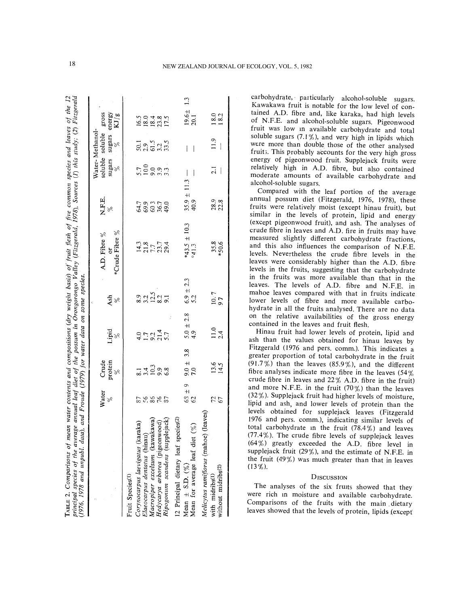| principal species of the average annual leaf diet of the possum in Orongorongo Valley (Fitzgerald, 1978), Sources (1) this study; (2) Fitzgerald<br>(1976, 1978 and unpubl. data), and Froude (1979) for water data on some species. |                  |                                                                       |                                 |                      |                                            |                         |                  |                                    |                                             |     |
|--------------------------------------------------------------------------------------------------------------------------------------------------------------------------------------------------------------------------------------|------------------|-----------------------------------------------------------------------|---------------------------------|----------------------|--------------------------------------------|-------------------------|------------------|------------------------------------|---------------------------------------------|-----|
|                                                                                                                                                                                                                                      | Water            |                                                                       |                                 |                      | A.D. Fibre %                               | N.F.E.                  |                  | Water-Methanol-<br>soluble soluble | gross                                       |     |
|                                                                                                                                                                                                                                      | $\delta_{\rm c}$ | Crude protein $\underset{\underset{\sim}{\vee}}{\text{proten}}$       | Lipid<br>%                      | $\frac{4sh}{\%}$     | *Crude Fibre %<br>ð                        |                         | sugars           | sugars<br>$\frac{5}{6}$            | energy<br>$\frac{\text{KJ/g}}{\text{KJ/g}}$ |     |
| Fruit Species <sup>(1)</sup>                                                                                                                                                                                                         |                  |                                                                       |                                 |                      |                                            |                         |                  |                                    |                                             |     |
| Corynocarpus laevigatus (karaka)                                                                                                                                                                                                     |                  |                                                                       |                                 |                      |                                            |                         |                  |                                    |                                             |     |
| Elaeocarpus dentatus (hinau                                                                                                                                                                                                          | <b>288822</b>    | $\frac{1}{8}$ $\frac{4}{1}$ $\frac{3}{9}$ $\frac{3}{8}$ $\frac{8}{9}$ | 4.0<br>1.0<br>5.7<br>5.7<br>5.7 | 225325               | $14.3$<br>$7.7$<br>$7.7$<br>$7.3$<br>$2.4$ |                         | 500033<br>500033 | 50.5<br>20.5<br>50.5<br>50.5       | 16.0 4 8 0<br>18.0 4 8 0<br>17.1            |     |
| akawa)<br>Macropiper excelsum (kawa                                                                                                                                                                                                  |                  |                                                                       |                                 |                      |                                            |                         |                  |                                    |                                             |     |
| Hedycarya arborea (pigeonwood)                                                                                                                                                                                                       |                  |                                                                       |                                 |                      |                                            |                         |                  |                                    |                                             |     |
| lejack)<br>Ripogonum scandens (supp                                                                                                                                                                                                  |                  |                                                                       |                                 |                      |                                            |                         |                  |                                    |                                             |     |
| 12 Principal dietary leaf species(2)                                                                                                                                                                                                 |                  |                                                                       |                                 |                      |                                            |                         |                  |                                    |                                             |     |
| Mean $\pm$ S.D. $(\%)$                                                                                                                                                                                                               | 63 ± 9<br>62     | 3.8<br>$7.0 + 7.0$                                                    | $5.0 \pm 2.8$<br>4.9            | $6.9 \pm 2.3$<br>5.2 | *43.5 $\pm$ 10.3<br>#41.3                  | $35.9 \pm 11.3$<br>40.9 |                  |                                    | $\frac{19.6 \pm}{20.1}$                     | 1.3 |
| ි<br>Mean for average leaf diet                                                                                                                                                                                                      |                  |                                                                       |                                 |                      |                                            |                         |                  |                                    |                                             |     |
| leaves<br>Melicytus ramiflorus (mahoe                                                                                                                                                                                                |                  |                                                                       |                                 |                      |                                            |                         |                  |                                    |                                             |     |
| without midribs(2)<br>with midribs(1)                                                                                                                                                                                                | 72<br>67         | $13.6$<br>14.5                                                        | $\frac{11.0}{2.4}$              | $\frac{10.7}{97}$    | $35.8$<br>*50.6                            | 28.9<br>22.8            | $\frac{1}{2}$    | 11.9<br>$\overline{\phantom{a}}$   | $\frac{0.81}{0.81}$                         |     |
|                                                                                                                                                                                                                                      |                  |                                                                       |                                 |                      |                                            |                         |                  |                                    |                                             |     |

carbohydrate, particularly alcohol-soluble sugars. Kawakawa fruit is notable for the low level of contained A.D. fibre and, like karaka, had high levels of N.F.E. and alcohol-soluble sugars. Pigeonwood fruit was low m available carbohydrate and total soluble sugars  $(7.1\%)$ , and very high in lipids which were more than double those of the other analysed fruit3. This probably accounts for the very high gross energy of pigeonwood fruit. Supplejack fruits were relatively high in A.D. fibre, but also contained moderate amounts of available carbohydrate and alcohol-soluble sugars.

Compared with the leaf portion of the average annual possum diet (Fitzgerald, 1976, 1978), these fruits were relatively moist (except hinau fruit), but similar in the levels of protein, lipid and energy (except pigeonwood fruit), and ash. The analyses of crude fibre in leaves and A.D. fire in fruits may have measured slightly different carbohydrate fractions, and this also influences the comparison of N.F.E. levels. Nevertheless the crude fibre levels in the leaves were considerably higher than the A.D. fibre levels in the fruits, suggesting that the carbohydrate in the fruits was more available than that in the leaves. The levels of A.D. fibre and N.F.E. in mahoe leaves compared with that in fruits indicate lower levels of fibre and more available carbohydrate in all the fruits analysed. There are no data on the relative availabilities of the gross energy contained in the leaves and fruit flesh.

Hinau fruit had lower levels of protein, lipid and ash than the values obtained for hinau leaves by Fitzgerald (1976 and pers. comm.). This indicates a greater proportion of total carbohydrate in the fruit (91.7%) than the leaves (85.9%), and the different fibre analyses indicate more fibre in the leaves (54% crude fibre in leaves and 22% A.D. fibre in the fruit) and more N.F.E. in the fruit (70%) than the leaves (32%). Supplejack fruit had higher levels of moisture, lipid and ash, and lower levels of protein than the levels obtained for supplejack leaves (Fitzgerald 1976 and pers. comm.), indicating similar levels of total carbohydrate in the fruit  $(78.4\%)$  and leaves  $(77.4\%)$ . The crude fibre levels of supplejack leaves (64%) greatly exceeded the A.D. fibre level in supplejack fruit (29%), and the estimate of N.F.E. in the fruit (49%) was much greater than that in leaves  $(13\%)$ .

# **DISCUSSION**

The analyses of the six fruits showed that they were rich m moisture and available carbohydrate. Comparisons of the fruits with the main \_dietary leaves showed that the levels of protein, lipids (except)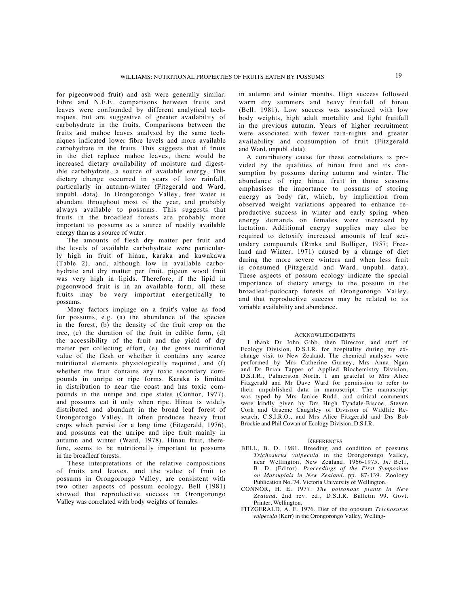for pigeonwood fruit) and ash were generally similar. Fibre and N.F.E. comparisons between fruits and leaves were confounded by different analytical techniques, but are suggestive of greater availability of carbohydrate in the fruits. Comparisons between the fruits and mahoe leaves analysed by the same techniques indicated lower fibre levels and more available carbohydrate in the fruits. This suggests that if fruits in the diet replace mahoe leaves, there would be increased dietary availability of moisture and digestible carbohydrate, a source of available energy, This dietary change occurred in years of low rainfall, particularly in autumn-winter (Fitzgerald and Ward, unpubl. data). In Orongorongo Valley, free water is abundant throughout most of the year, and probably always available to possums. This suggests that fruits in the broadleaf forests are probably more important to possums as a source of readily available energy than as a source of water.

The amounts of flesh dry matter per fruit and the levels of available carbohydrate were particularly high in fruit of hinau, karaka and kawakawa (Table 2), and, although low in available carbohydrate and dry matter per fruit, pigeon wood fruit was very high in lipids. Therefore, if the lipid in pigeonwood fruit is in an available form, all these fruits may be very important energetically to possums.

Many factors impinge on a fruit's value as food for possums, e.g. (a) the abundance of the species in the forest, (b) the density of the fruit crop on the tree, (c) the duration of the fruit in edible form, (d) the accessibility of the fruit and the yield of dry matter per collecting effort, (e) the gross nutritional value of the flesh or whether it contains any scarce nutritional elements physiologically required, and (f) whether the fruit contains any toxic secondary compounds in unripe or ripe forms. Karaka is limited in distribution to near the coast and has toxic compounds in the unripe and ripe states (Connor, 1977), and possums eat it only when ripe. Hinau is widely distributed and abundant in the broad leaf forest of Orongorongo Valley. It often produces heavy fruit crops which persist for a long time (Fitzgerald, 1976), and possums eat the unripe and ripe fruit mainly in autumn and winter (Ward, 1978). Hinau fruit, therefore, seems to be nutritionally important to possums in the broadleaf forests.

These interpretations of the relative compositions of fruits and leaves, and the value of fruit to possums in Orongorongo Valley, are consistent with two other aspects of possum ecology. Bell (1981) showed that reproductive success in Orongorongo Valley was correlated with body weights of females

in autumn and winter months. High success followed warm dry summers and heavy fruitfall of hinau (Bell, 1981). Low success was associated with low body weights, high adult mortality and light fruitfall in the previous autumn. Years of higher recruitment were associated with fewer rain-nights and greater availability and consumption of fruit (Fitzgerald and Ward, unpubl. data).

A contributory cause for these correlations is provided by the qualities of hinau fruit and its consumption by possums during autumn and winter. The abundance of ripe hinau fruit in those seasons emphasises the importance to possums of storing energy as body fat, which, by implication from observed weight variations appeared to enhance reproductive success in winter and early spring when energy demands on females were increased by lactation. Additional energy supplies may also be required to detoxify increased amounts of leaf secondary compounds (Rinks and Bolliger, 1957; Freeland and Winter, 1971) caused by a change of diet during the more severe winters and when less fruit is consumed (Fitzgerald and Ward, unpubl. data). These aspects of possum ecology indicate the special importance of dietary energy to the possum in the broadleaf-podocarp forests of Orongorongo Valley, and that reproductive success may be related to its variable availability and abundance.

#### **ACKNOWLEDGEMENTS**

I thank Dr John Gibb, then Director, and staff of Ecology Division, D.S.I.R. for hospitality during my exchange visit to New Zealand. The chemical analyses were performed by Mrs Catherine Gurney, Mrs Anna Ngan and Dr Brian Tapper of Applied Biochemistry Division, D.S.I.R., Palmerston North. I am grateful to Mrs Alice Fitzgerald and Mr Dave Ward for permission to refer to their unpublished data in manuscript. The manuscript was typed by Mrs Janice Rudd, and critical comments were kindly given by Drs Hugh Tyndale-Biscoe, Steven Cork and Graeme Caughley of Division of Wildlife Research, C.S.I.R.O., and Mrs Alice Fitzgerald and Drs Bob Brockie and Phil Cowan of Ecology Division, D.S.I.R.

#### **REFERENCES**

- BELL, B. D. 1981. Breeding and condition of possums *Trichosurus vulpecula* in the Orongorongo Valley, near Wellington, New Zealand, 1966-1975. *In:* Bell, B. D. (Editor). *Proceedings of the First Symposium on Marsupials in New Zealand.* pp. 87-139. Zoology Publication No. 74. Victoria University of Wellington.
- CONNOR, H. E. 1977. *The poisonous plants in New Zealand.* 2nd rev. ed., D.S.I.R. Bulletin 99. Govt. Printer, Wellington.
- FITZGERALD, A. E. 1976. Diet of the opossum *Trichosurus vulpecula* (Kerr) in the Orongorongo Valley, Welling-